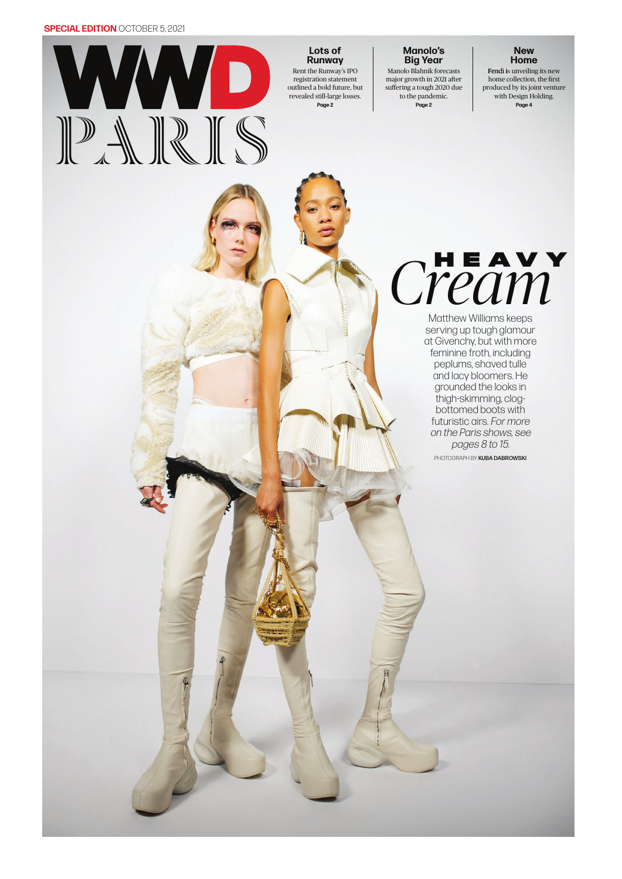### **SPECIAL EDITION** OCTOBER 5, 2021



**Lots of Runway** Rent the Runway's IPO registration statement outlined a bold future, but revealed still-large losses. **Page 2**

**Manolo's** 

**Manolo Blahnik forecasts** major growth in 2021 after suffering a tough 2020 due to the pandemic. **Page 2**

Home Fendi is unveiling its new home collection, the first produced by its joint venture with Design Holding. **Page 4**

**New** 

# Cream

Matthew Williams keeps serving up tough glamour at Givenchy, but with more feminine froth, including peplums, shaved tulle and lacy bloomers. He grounded the looks in thigh-skimming, clogbottomed boots with futuristic airs. For more on the Paris shows, see pages 8 to 15. PHOTOGRAPH BY KUBA DABROWSKI